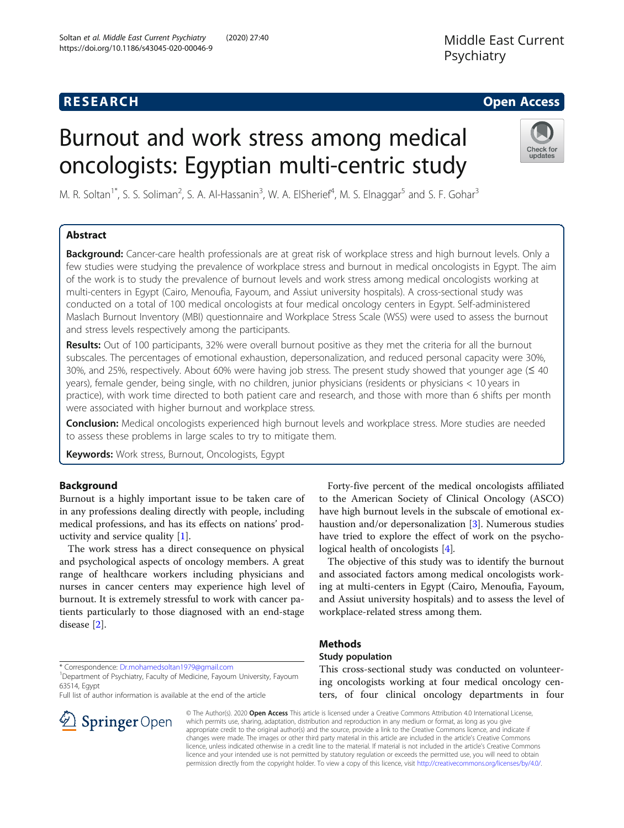## **RESEARCH CHE Open Access**

# Burnout and work stress among medical oncologists: Egyptian multi-centric study



M. R. Soltan<sup>1\*</sup>, S. S. Soliman<sup>2</sup>, S. A. Al-Hassanin<sup>3</sup>, W. A. ElSherief<sup>4</sup>, M. S. Elnaggar<sup>5</sup> and S. F. Gohar<sup>3</sup>

## Abstract

Background: Cancer-care health professionals are at great risk of workplace stress and high burnout levels. Only a few studies were studying the prevalence of workplace stress and burnout in medical oncologists in Egypt. The aim of the work is to study the prevalence of burnout levels and work stress among medical oncologists working at multi-centers in Egypt (Cairo, Menoufia, Fayoum, and Assiut university hospitals). A cross-sectional study was conducted on a total of 100 medical oncologists at four medical oncology centers in Egypt. Self-administered Maslach Burnout Inventory (MBI) questionnaire and Workplace Stress Scale (WSS) were used to assess the burnout and stress levels respectively among the participants.

Results: Out of 100 participants, 32% were overall burnout positive as they met the criteria for all the burnout subscales. The percentages of emotional exhaustion, depersonalization, and reduced personal capacity were 30%, 30%, and 25%, respectively. About 60% were having job stress. The present study showed that younger age (≤ 40 years), female gender, being single, with no children, junior physicians (residents or physicians < 10 years in practice), with work time directed to both patient care and research, and those with more than 6 shifts per month were associated with higher burnout and workplace stress.

**Conclusion:** Medical oncologists experienced high burnout levels and workplace stress. More studies are needed to assess these problems in large scales to try to mitigate them.

Keywords: Work stress, Burnout, Oncologists, Egypt

## Background

Burnout is a highly important issue to be taken care of in any professions dealing directly with people, including medical professions, and has its effects on nations' productivity and service quality [\[1\]](#page-5-0).

The work stress has a direct consequence on physical and psychological aspects of oncology members. A great range of healthcare workers including physicians and nurses in cancer centers may experience high level of burnout. It is extremely stressful to work with cancer patients particularly to those diagnosed with an end-stage disease [\[2](#page-5-0)].

\* Correspondence: [Dr.mohamedsoltan1979@gmail.com](mailto:Dr.mohamedsoltan1979@gmail.com) <sup>1</sup>

<sup>1</sup>Department of Psychiatry, Faculty of Medicine, Fayoum University, Fayoum 63514, Egypt

Full list of author information is available at the end of the article



Forty-five percent of the medical oncologists affiliated to the American Society of Clinical Oncology (ASCO) have high burnout levels in the subscale of emotional exhaustion and/or depersonalization [[3\]](#page-5-0). Numerous studies have tried to explore the effect of work on the psychological health of oncologists [[4\]](#page-5-0).

The objective of this study was to identify the burnout and associated factors among medical oncologists working at multi-centers in Egypt (Cairo, Menoufia, Fayoum, and Assiut university hospitals) and to assess the level of workplace-related stress among them.

## **Methods**

## Study population

This cross-sectional study was conducted on volunteering oncologists working at four medical oncology centers, of four clinical oncology departments in four

© The Author(s). 2020 Open Access This article is licensed under a Creative Commons Attribution 4.0 International License, which permits use, sharing, adaptation, distribution and reproduction in any medium or format, as long as you give appropriate credit to the original author(s) and the source, provide a link to the Creative Commons licence, and indicate if changes were made. The images or other third party material in this article are included in the article's Creative Commons licence, unless indicated otherwise in a credit line to the material. If material is not included in the article's Creative Commons licence and your intended use is not permitted by statutory regulation or exceeds the permitted use, you will need to obtain permission directly from the copyright holder. To view a copy of this licence, visit <http://creativecommons.org/licenses/by/4.0/>.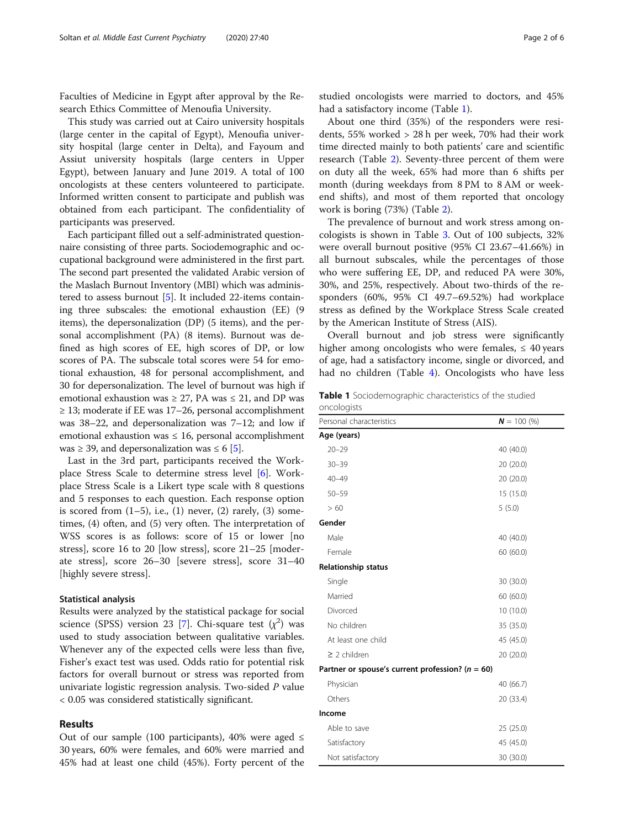Faculties of Medicine in Egypt after approval by the Research Ethics Committee of Menoufia University.

This study was carried out at Cairo university hospitals (large center in the capital of Egypt), Menoufia university hospital (large center in Delta), and Fayoum and Assiut university hospitals (large centers in Upper Egypt), between January and June 2019. A total of 100 oncologists at these centers volunteered to participate. Informed written consent to participate and publish was obtained from each participant. The confidentiality of participants was preserved.

Each participant filled out a self-administrated questionnaire consisting of three parts. Sociodemographic and occupational background were administered in the first part. The second part presented the validated Arabic version of the Maslach Burnout Inventory (MBI) which was administered to assess burnout [\[5\]](#page-5-0). It included 22-items containing three subscales: the emotional exhaustion (EE) (9 items), the depersonalization (DP) (5 items), and the personal accomplishment (PA) (8 items). Burnout was defined as high scores of EE, high scores of DP, or low scores of PA. The subscale total scores were 54 for emotional exhaustion, 48 for personal accomplishment, and 30 for depersonalization. The level of burnout was high if emotional exhaustion was  $\geq$  27, PA was  $\leq$  21, and DP was  $\geq$  13; moderate if EE was 17–26, personal accomplishment was 38–22, and depersonalization was 7–12; and low if emotional exhaustion was  $\leq 16$ , personal accomplishment was  $\geq$  39, and depersonalization was  $\leq$  6 [[5](#page-5-0)].

Last in the 3rd part, participants received the Workplace Stress Scale to determine stress level [\[6](#page-5-0)]. Workplace Stress Scale is a Likert type scale with 8 questions and 5 responses to each question. Each response option is scored from  $(1-5)$ , i.e.,  $(1)$  never,  $(2)$  rarely,  $(3)$  sometimes, (4) often, and (5) very often. The interpretation of WSS scores is as follows: score of 15 or lower [no stress], score 16 to 20 [low stress], score 21–25 [moderate stress], score 26–30 [severe stress], score 31–40 [highly severe stress].

#### Statistical analysis

Results were analyzed by the statistical package for social science (SPSS) version 23 [\[7](#page-5-0)]. Chi-square test  $(\chi^2)$  was used to study association between qualitative variables. Whenever any of the expected cells were less than five, Fisher's exact test was used. Odds ratio for potential risk factors for overall burnout or stress was reported from univariate logistic regression analysis. Two-sided P value < 0.05 was considered statistically significant.

#### Results

Out of our sample (100 participants), 40% were aged  $\leq$ 30 years, 60% were females, and 60% were married and 45% had at least one child (45%). Forty percent of the studied oncologists were married to doctors, and 45% had a satisfactory income (Table 1).

About one third (35%) of the responders were residents, 55% worked > 28 h per week, 70% had their work time directed mainly to both patients' care and scientific research (Table [2](#page-2-0)). Seventy-three percent of them were on duty all the week, 65% had more than 6 shifts per month (during weekdays from 8 PM to 8 AM or weekend shifts), and most of them reported that oncology work is boring (73%) (Table [2](#page-2-0)).

The prevalence of burnout and work stress among oncologists is shown in Table [3](#page-2-0). Out of 100 subjects, 32% were overall burnout positive (95% CI 23.67–41.66%) in all burnout subscales, while the percentages of those who were suffering EE, DP, and reduced PA were 30%, 30%, and 25%, respectively. About two-thirds of the responders (60%, 95% CI 49.7–69.52%) had workplace stress as defined by the Workplace Stress Scale created by the American Institute of Stress (AIS).

Overall burnout and job stress were significantly higher among oncologists who were females,  $\leq 40$  years of age, had a satisfactory income, single or divorced, and had no children (Table [4\)](#page-3-0). Oncologists who have less

Table 1 Sociodemographic characteristics of the studied oncologists

| Personal characteristics                             | $N = 100 (%)$ |
|------------------------------------------------------|---------------|
| Age (years)                                          |               |
| $20 - 29$                                            | 40 (40.0)     |
| $30 - 39$                                            | 20 (20.0)     |
| $40 - 49$                                            | 20 (20.0)     |
| $50 - 59$                                            | 15 (15.0)     |
| >60                                                  | 5(5.0)        |
| Gender                                               |               |
| Male                                                 | 40 (40.0)     |
| Female                                               | 60 (60.0)     |
| <b>Relationship status</b>                           |               |
| Single                                               | 30 (30.0)     |
| Married                                              | 60 (60.0)     |
| Divorced                                             | 10 (10.0)     |
| No children                                          | 35 (35.0)     |
| At least one child                                   | 45 (45.0)     |
| $\geq$ 2 children                                    | 20 (20.0)     |
| Partner or spouse's current profession? ( $n = 60$ ) |               |
| Physician                                            | 40 (66.7)     |
| Others                                               | 20 (33.4)     |
| Income                                               |               |
| Able to save                                         | 25 (25.0)     |
| Satisfactory                                         | 45 (45.0)     |
| Not satisfactory                                     | 30 (30.0)     |
|                                                      |               |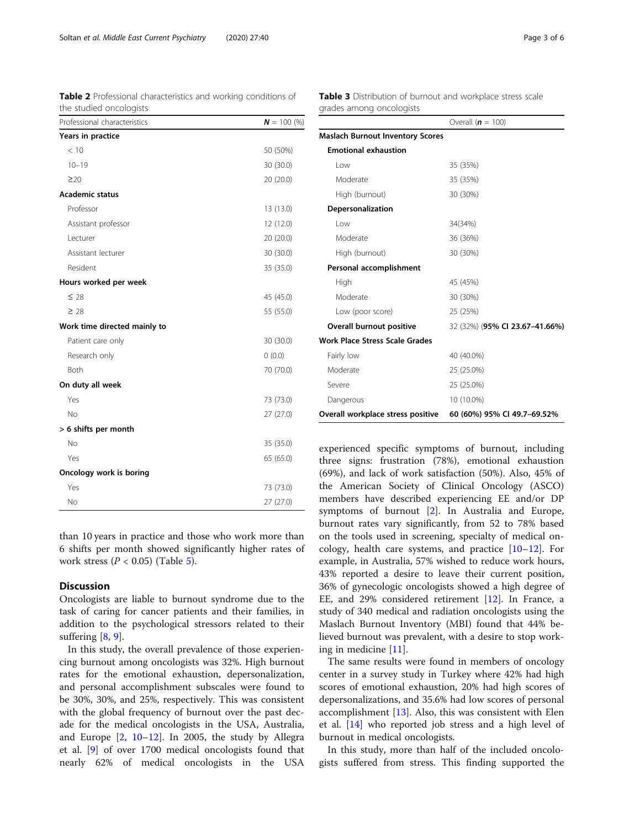the studied oncologists Professional characteristics  $N = 100 (%)$ 

<span id="page-2-0"></span>Table 2 Professional characteristics and working conditions of

| 50 (50%)  |
|-----------|
| 30 (30.0) |
| 20 (20.0) |
|           |
| 13 (13.0) |
| 12 (12.0) |
| 20 (20.0) |
| 30 (30.0) |
| 35 (35.0) |
|           |
| 45 (45.0) |
| 55 (55.0) |
|           |
| 30 (30.0) |
| (0.0)     |
| 70 (70.0) |
|           |
| 73 (73.0) |
| 27 (27.0) |
|           |
| 35 (35.0) |
| 65 (65.0) |
|           |
| 73 (73.0) |
| 27(27.0)  |
|           |

than 10 years in practice and those who work more than 6 shifts per month showed significantly higher rates of work stress  $(P < 0.05)$  $(P < 0.05)$  (Table 5).

#### **Discussion**

Oncologists are liable to burnout syndrome due to the task of caring for cancer patients and their families, in addition to the psychological stressors related to their suffering  $[8, 9]$  $[8, 9]$  $[8, 9]$  $[8, 9]$ .

In this study, the overall prevalence of those experiencing burnout among oncologists was 32%. High burnout rates for the emotional exhaustion, depersonalization, and personal accomplishment subscales were found to be 30%, 30%, and 25%, respectively. This was consistent with the global frequency of burnout over the past decade for the medical oncologists in the USA, Australia, and Europe [[2,](#page-5-0) [10](#page-5-0)–[12\]](#page-5-0). In 2005, the study by Allegra et al. [\[9](#page-5-0)] of over 1700 medical oncologists found that nearly 62% of medical oncologists in the USA Table 3 Distribution of burnout and workplace stress scale grades among oncologists

|                                         | Overall $(n = 100)$            |
|-----------------------------------------|--------------------------------|
| <b>Maslach Burnout Inventory Scores</b> |                                |
| <b>Emotional exhaustion</b>             |                                |
| l ow                                    | 35 (35%)                       |
| Moderate                                | 35 (35%)                       |
| High (burnout)                          | 30 (30%)                       |
| Depersonalization                       |                                |
| l ow                                    | 34(34%)                        |
| Moderate                                | 36 (36%)                       |
| High (burnout)                          | 30 (30%)                       |
| Personal accomplishment                 |                                |
| High                                    | 45 (45%)                       |
| Moderate                                | 30 (30%)                       |
| Low (poor score)                        | 25 (25%)                       |
| Overall burnout positive                | 32 (32%) (95% CI 23.67-41.66%) |
| <b>Work Place Stress Scale Grades</b>   |                                |
| Fairly low                              | 40 (40.0%)                     |
| Moderate                                | 25 (25.0%)                     |
| Severe                                  | 25 (25.0%)                     |
| Dangerous                               | 10 (10.0%)                     |
| Overall workplace stress positive       | 60 (60%) 95% CI 49.7-69.52%    |

experienced specific symptoms of burnout, including three signs: frustration (78%), emotional exhaustion (69%), and lack of work satisfaction (50%). Also, 45% of the American Society of Clinical Oncology (ASCO) members have described experiencing EE and/or DP symptoms of burnout [\[2](#page-5-0)]. In Australia and Europe, burnout rates vary significantly, from 52 to 78% based on the tools used in screening, specialty of medical oncology, health care systems, and practice  $[10-12]$  $[10-12]$  $[10-12]$  $[10-12]$  $[10-12]$ . For example, in Australia, 57% wished to reduce work hours, 43% reported a desire to leave their current position, 36% of gynecologic oncologists showed a high degree of EE, and 29% considered retirement [[12](#page-5-0)]. In France, a study of 340 medical and radiation oncologists using the Maslach Burnout Inventory (MBI) found that 44% believed burnout was prevalent, with a desire to stop working in medicine [[11](#page-5-0)].

The same results were found in members of oncology center in a survey study in Turkey where 42% had high scores of emotional exhaustion, 20% had high scores of depersonalizations, and 35.6% had low scores of personal accomplishment [[13\]](#page-5-0). Also, this was consistent with Elen et al. [[14](#page-5-0)] who reported job stress and a high level of burnout in medical oncologists.

In this study, more than half of the included oncologists suffered from stress. This finding supported the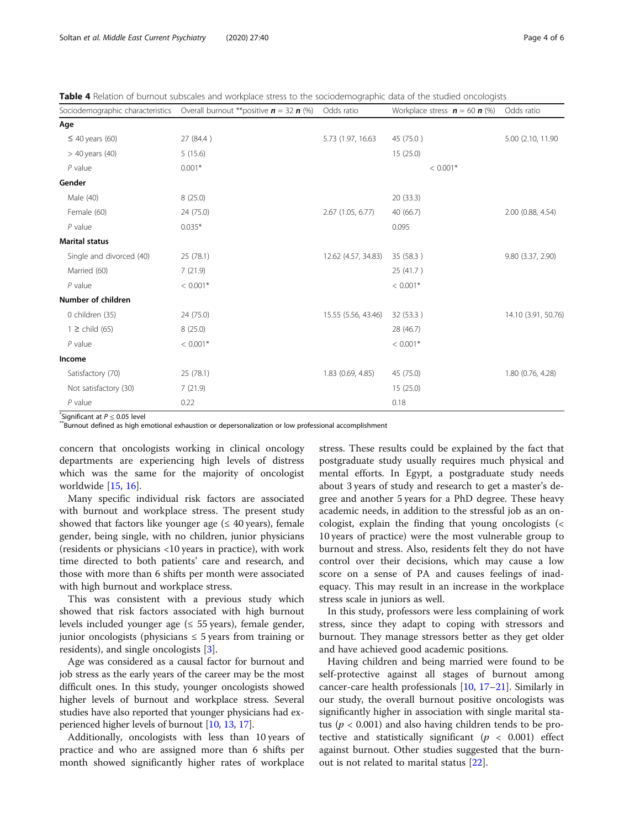<span id="page-3-0"></span>

|  |  |  | Table 4 Relation of burnout subscales and workplace stress to the sociodemographic data of the studied oncologists |
|--|--|--|--------------------------------------------------------------------------------------------------------------------|
|  |  |  |                                                                                                                    |

| Sociodemographic characteristics | Overall burnout **positive $n = 32 n$ (%) | Odds ratio          | Workplace stress $\mathbf{n} = 60 \mathbf{n}$ (%) | Odds ratio          |
|----------------------------------|-------------------------------------------|---------------------|---------------------------------------------------|---------------------|
| Age                              |                                           |                     |                                                   |                     |
| $\leq$ 40 years (60)             | 27 (84.4)                                 | 5.73 (1.97, 16.63)  | 45 (75.0)                                         | 5.00 (2.10, 11.90)  |
| $>$ 40 years (40)                | 5(15.6)                                   |                     | 15(25.0)                                          |                     |
| $P$ value                        | $0.001*$                                  |                     | $< 0.001*$                                        |                     |
| Gender                           |                                           |                     |                                                   |                     |
| Male (40)                        | 8(25.0)                                   |                     | 20(33.3)                                          |                     |
| Female (60)                      | 24 (75.0)                                 | 2.67 (1.05, 6.77)   | 40 (66.7)                                         | 2.00 (0.88, 4.54)   |
| $P$ value                        | $0.035*$                                  |                     | 0.095                                             |                     |
| <b>Marital status</b>            |                                           |                     |                                                   |                     |
| Single and divorced (40)         | 25(78.1)                                  | 12.62 (4.57, 34.83) | 35 (58.3)                                         | 9.80 (3.37, 2.90)   |
| Married (60)                     | 7(21.9)                                   |                     | 25 (41.7)                                         |                     |
| $P$ value                        | $< 0.001*$                                |                     | $< 0.001*$                                        |                     |
| Number of children               |                                           |                     |                                                   |                     |
| 0 children (35)                  | 24 (75.0)                                 |                     | 32 (53.3)                                         | 14.10 (3.91, 50.76) |
| $1 \ge$ child (65)               | 8(25.0)                                   |                     | 28 (46.7)                                         |                     |
| $P$ value                        | $< 0.001*$                                |                     | $< 0.001*$                                        |                     |
| Income                           |                                           |                     |                                                   |                     |
| Satisfactory (70)                | 25 (78.1)                                 | 1.83 (0.69, 4.85)   | 45 (75.0)                                         | 1.80 (0.76, 4.28)   |
| Not satisfactory (30)            | 7(21.9)                                   |                     | 15(25.0)                                          |                     |
| $P$ value                        | 0.22                                      |                     | 0.18                                              |                     |

 $*$ Significant at  $P < 0.05$  level

\*Burnout defined as high emotional exhaustion or depersonalization or low professional accomplishment

concern that oncologists working in clinical oncology departments are experiencing high levels of distress which was the same for the majority of oncologist worldwide [\[15](#page-5-0), [16\]](#page-5-0).

Many specific individual risk factors are associated with burnout and workplace stress. The present study showed that factors like younger age  $( \leq 40 \text{ years})$ , female gender, being single, with no children, junior physicians (residents or physicians <10 years in practice), with work time directed to both patients' care and research, and those with more than 6 shifts per month were associated with high burnout and workplace stress.

This was consistent with a previous study which showed that risk factors associated with high burnout levels included younger age  $(≤ 55 \text{ years})$ , female gender, junior oncologists (physicians  $\leq 5$  years from training or residents), and single oncologists [[3](#page-5-0)].

Age was considered as a causal factor for burnout and job stress as the early years of the career may be the most difficult ones. In this study, younger oncologists showed higher levels of burnout and workplace stress. Several studies have also reported that younger physicians had experienced higher levels of burnout [\[10,](#page-5-0) [13](#page-5-0), [17\]](#page-5-0).

Additionally, oncologists with less than 10 years of practice and who are assigned more than 6 shifts per month showed significantly higher rates of workplace

stress. These results could be explained by the fact that postgraduate study usually requires much physical and mental efforts. In Egypt, a postgraduate study needs about 3 years of study and research to get a master's degree and another 5 years for a PhD degree. These heavy academic needs, in addition to the stressful job as an oncologist, explain the finding that young oncologists (< 10 years of practice) were the most vulnerable group to burnout and stress. Also, residents felt they do not have control over their decisions, which may cause a low score on a sense of PA and causes feelings of inadequacy. This may result in an increase in the workplace stress scale in juniors as well.

In this study, professors were less complaining of work stress, since they adapt to coping with stressors and burnout. They manage stressors better as they get older and have achieved good academic positions.

Having children and being married were found to be self-protective against all stages of burnout among cancer-care health professionals [\[10](#page-5-0), [17](#page-5-0)–[21](#page-5-0)]. Similarly in our study, the overall burnout positive oncologists was significantly higher in association with single marital status ( $p < 0.001$ ) and also having children tends to be protective and statistically significant ( $p < 0.001$ ) effect against burnout. Other studies suggested that the burnout is not related to marital status [[22\]](#page-5-0).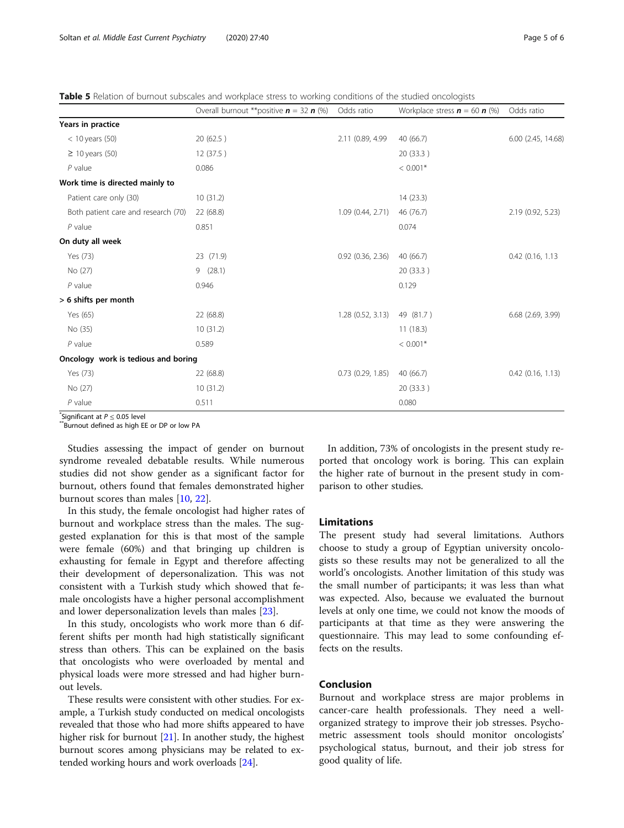<span id="page-4-0"></span>Table 5 Relation of burnout subscales and workplace stress to working conditions of the studied oncologists

|                                     | Overall burnout **positive $n = 32 n$ (%) | Odds ratio            | Workplace stress $\mathbf{n} = 60 \mathbf{n}$ (%) | Odds ratio          |
|-------------------------------------|-------------------------------------------|-----------------------|---------------------------------------------------|---------------------|
| Years in practice                   |                                           |                       |                                                   |                     |
| $<$ 10 years (50)                   | 20 (62.5)                                 | 2.11 (0.89, 4.99)     | 40(66.7)                                          | 6.00 (2.45, 14.68)  |
| $\geq$ 10 years (50)                | 12 (37.5)                                 |                       | 20 (33.3)                                         |                     |
| $P$ value                           | 0.086                                     |                       | $< 0.001*$                                        |                     |
| Work time is directed mainly to     |                                           |                       |                                                   |                     |
| Patient care only (30)              | 10(31.2)                                  |                       | 14(23.3)                                          |                     |
| Both patient care and research (70) | 22 (68.8)                                 | 1.09(0.44, 2.71)      | 46 (76.7)                                         | 2.19 (0.92, 5.23)   |
| $P$ value                           | 0.851                                     |                       | 0.074                                             |                     |
| On duty all week                    |                                           |                       |                                                   |                     |
| Yes (73)                            | 23 (71.9)                                 | $0.92$ $(0.36, 2.36)$ | 40(66.7)                                          | 0.42 (0.16, 1.13)   |
| No (27)                             | 9(28.1)                                   |                       | 20 (33.3)                                         |                     |
| $P$ value                           | 0.946                                     |                       | 0.129                                             |                     |
| > 6 shifts per month                |                                           |                       |                                                   |                     |
| Yes (65)                            | 22 (68.8)                                 | 1.28(0.52, 3.13)      | 49 (81.7)                                         | 6.68 (2.69, 3.99)   |
| No (35)                             | 10(31.2)                                  |                       | 11(18.3)                                          |                     |
| $P$ value                           | 0.589                                     |                       | $< 0.001*$                                        |                     |
| Oncology work is tedious and boring |                                           |                       |                                                   |                     |
| Yes (73)                            | 22 (68.8)                                 | $0.73$ $(0.29, 1.85)$ | 40(66.7)                                          | $0.42$ (0.16, 1.13) |
| No (27)                             | 10(31.2)                                  |                       | 20 (33.3)                                         |                     |
| $P$ value                           | 0.511                                     |                       | 0.080                                             |                     |

Significant at  $P \leq 0.05$  level

\*Burnout defined as high EE or DP or low PA

Studies assessing the impact of gender on burnout syndrome revealed debatable results. While numerous studies did not show gender as a significant factor for burnout, others found that females demonstrated higher burnout scores than males [[10](#page-5-0), [22](#page-5-0)].

In this study, the female oncologist had higher rates of burnout and workplace stress than the males. The suggested explanation for this is that most of the sample were female (60%) and that bringing up children is exhausting for female in Egypt and therefore affecting their development of depersonalization. This was not consistent with a Turkish study which showed that female oncologists have a higher personal accomplishment and lower depersonalization levels than males [[23](#page-5-0)].

In this study, oncologists who work more than 6 different shifts per month had high statistically significant stress than others. This can be explained on the basis that oncologists who were overloaded by mental and physical loads were more stressed and had higher burnout levels.

These results were consistent with other studies. For example, a Turkish study conducted on medical oncologists revealed that those who had more shifts appeared to have higher risk for burnout [\[21\]](#page-5-0). In another study, the highest burnout scores among physicians may be related to extended working hours and work overloads [\[24\]](#page-5-0).

In addition, 73% of oncologists in the present study reported that oncology work is boring. This can explain the higher rate of burnout in the present study in comparison to other studies.

#### Limitations

The present study had several limitations. Authors choose to study a group of Egyptian university oncologists so these results may not be generalized to all the world's oncologists. Another limitation of this study was the small number of participants; it was less than what was expected. Also, because we evaluated the burnout levels at only one time, we could not know the moods of participants at that time as they were answering the questionnaire. This may lead to some confounding effects on the results.

### Conclusion

Burnout and workplace stress are major problems in cancer-care health professionals. They need a wellorganized strategy to improve their job stresses. Psychometric assessment tools should monitor oncologists' psychological status, burnout, and their job stress for good quality of life.